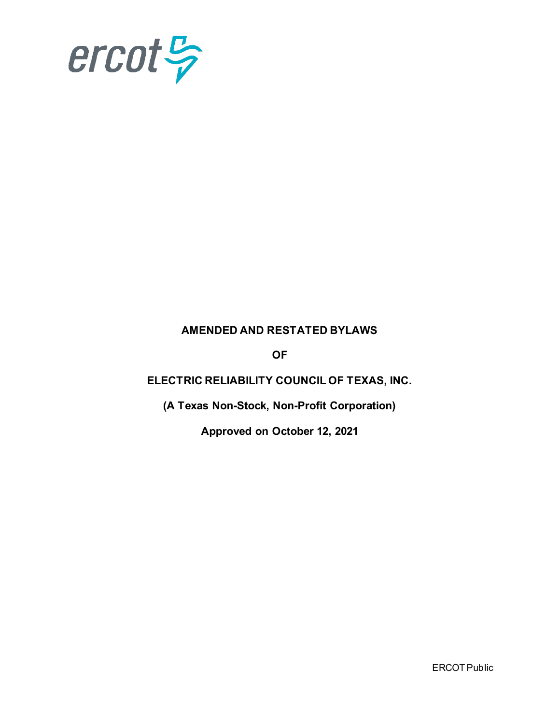

# **AMENDED AND RESTATED BYLAWS**

**OF**

# **ELECTRIC RELIABILITY COUNCIL OF TEXAS, INC.**

**(A Texas Non-Stock, Non-Profit Corporation)**

**Approved on October 12, 2021**

ERCOT Public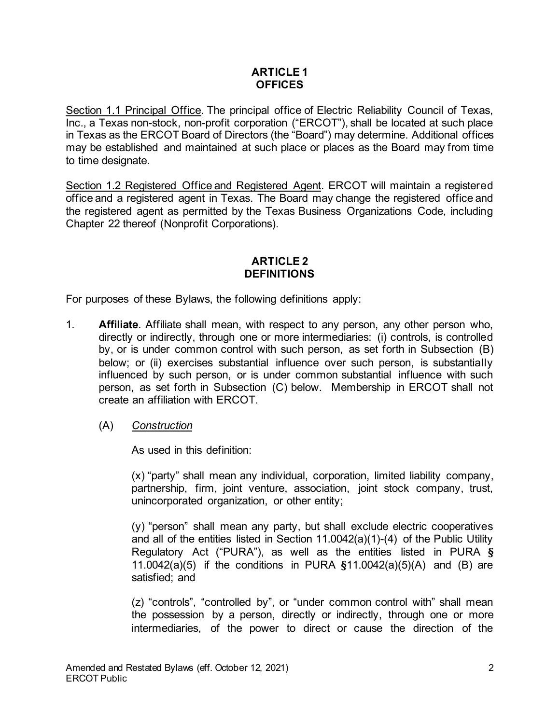### **ARTICLE 1 OFFICES**

Section 1.1 Principal Office. The principal office of Electric Reliability Council of Texas, Inc., a Texas non-stock, non-profit corporation ("ERCOT"), shall be located at such place in Texas as the ERCOT Board of Directors (the "Board") may determine. Additional offices may be established and maintained at such place or places as the Board may from time to time designate.

Section 1.2 Registered Office and Registered Agent. ERCOT will maintain a registered office and a registered agent in Texas. The Board may change the registered office and the registered agent as permitted by the Texas Business Organizations Code, including Chapter 22 thereof (Nonprofit Corporations).

# **ARTICLE 2 DEFINITIONS**

For purposes of these Bylaws, the following definitions apply:

- 1. **Affiliate**. Affiliate shall mean, with respect to any person, any other person who, directly or indirectly, through one or more intermediaries: (i) controls, is controlled by, or is under common control with such person, as set forth in Subsection (B) below; or (ii) exercises substantial influence over such person, is substantially influenced by such person, or is under common substantial influence with such person, as set forth in Subsection (C) below. Membership in ERCOT shall not create an affiliation with ERCOT.
	- (A) *Construction*

As used in this definition:

(x) "party" shall mean any individual, corporation, limited liability company, partnership, firm, joint venture, association, joint stock company, trust, unincorporated organization, or other entity;

(y) "person" shall mean any party, but shall exclude electric cooperatives and all of the entities listed in Section 11.0042(a)(1)-(4) of the Public Utility Regulatory Act ("PURA"), as well as the entities listed in PURA **§** 11.0042(a)(5) if the conditions in PURA **§**11.0042(a)(5)(A) and (B) are satisfied; and

(z) "controls", "controlled by", or "under common control with" shall mean the possession by a person, directly or indirectly, through one or more intermediaries, of the power to direct or cause the direction of the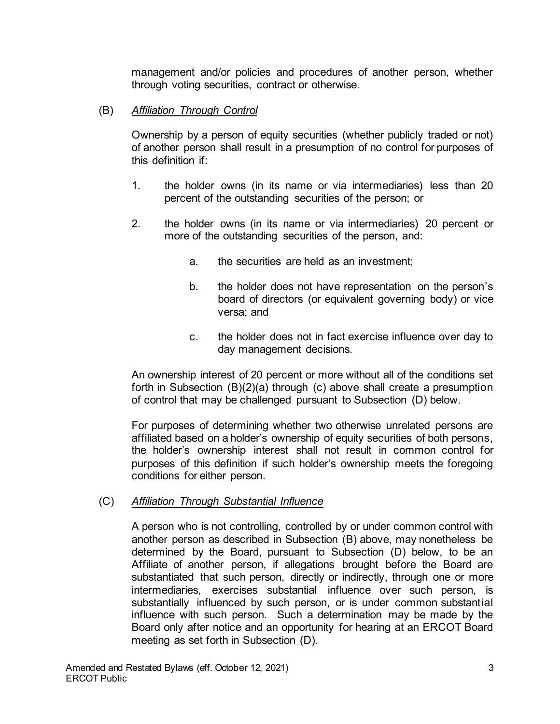management and/or policies and procedures of another person, whether through voting securities, contract or otherwise.

### (B) *Affiliation Through Control*

Ownership by a person of equity securities (whether publicly traded or not) of another person shall result in a presumption of no control for purposes of this definition if:

- 1. the holder owns (in its name or via intermediaries) less than 20 percent of the outstanding securities of the person; or
- 2. the holder owns (in its name or via intermediaries) 20 percent or more of the outstanding securities of the person, and:
	- a. the securities are held as an investment;
	- b. the holder does not have representation on the person's board of directors (or equivalent governing body) or vice versa; and
	- c. the holder does not in fact exercise influence over day to day management decisions.

An ownership interest of 20 percent or more without all of the conditions set forth in Subsection (B)(2)(a) through (c) above shall create a presumption of control that may be challenged pursuant to Subsection (D) below.

For purposes of determining whether two otherwise unrelated persons are affiliated based on a holder's ownership of equity securities of both persons, the holder's ownership interest shall not result in common control for purposes of this definition if such holder's ownership meets the foregoing conditions for either person.

### (C) *Affiliation Through Substantial Influence*

A person who is not controlling, controlled by or under common control with another person as described in Subsection (B) above, may nonetheless be determined by the Board, pursuant to Subsection (D) below, to be an Affiliate of another person, if allegations brought before the Board are substantiated that such person, directly or indirectly, through one or more intermediaries, exercises substantial influence over such person, is substantially influenced by such person, or is under common substantial influence with such person. Such a determination may be made by the Board only after notice and an opportunity for hearing at an ERCOT Board meeting as set forth in Subsection (D).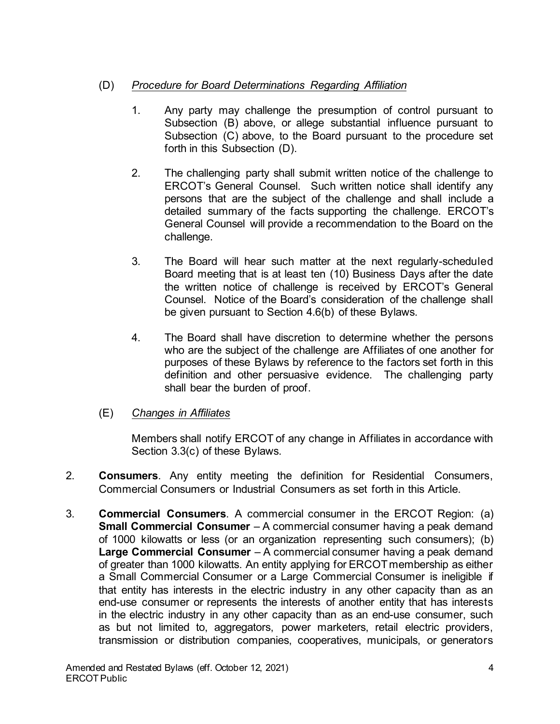# (D) *Procedure for Board Determinations Regarding Affiliation*

- 1. Any party may challenge the presumption of control pursuant to Subsection (B) above, or allege substantial influence pursuant to Subsection (C) above, to the Board pursuant to the procedure set forth in this Subsection (D).
- 2. The challenging party shall submit written notice of the challenge to ERCOT's General Counsel. Such written notice shall identify any persons that are the subject of the challenge and shall include a detailed summary of the facts supporting the challenge. ERCOT's General Counsel will provide a recommendation to the Board on the challenge.
- 3. The Board will hear such matter at the next regularly-scheduled Board meeting that is at least ten (10) Business Days after the date the written notice of challenge is received by ERCOT's General Counsel. Notice of the Board's consideration of the challenge shall be given pursuant to Section 4.6(b) of these Bylaws.
- 4. The Board shall have discretion to determine whether the persons who are the subject of the challenge are Affiliates of one another for purposes of these Bylaws by reference to the factors set forth in this definition and other persuasive evidence. The challenging party shall bear the burden of proof.
- (E) *Changes in Affiliates*

Members shall notify ERCOT of any change in Affiliates in accordance with Section 3.3(c) of these Bylaws.

- 2. **Consumers**. Any entity meeting the definition for Residential Consumers, Commercial Consumers or Industrial Consumers as set forth in this Article.
- 3. **Commercial Consumers**. A commercial consumer in the ERCOT Region: (a) **Small Commercial Consumer** – A commercial consumer having a peak demand of 1000 kilowatts or less (or an organization representing such consumers); (b) **Large Commercial Consumer** – A commercial consumer having a peak demand of greater than 1000 kilowatts. An entity applying for ERCOT membership as either a Small Commercial Consumer or a Large Commercial Consumer is ineligible if that entity has interests in the electric industry in any other capacity than as an end-use consumer or represents the interests of another entity that has interests in the electric industry in any other capacity than as an end-use consumer, such as but not limited to, aggregators, power marketers, retail electric providers, transmission or distribution companies, cooperatives, municipals, or generators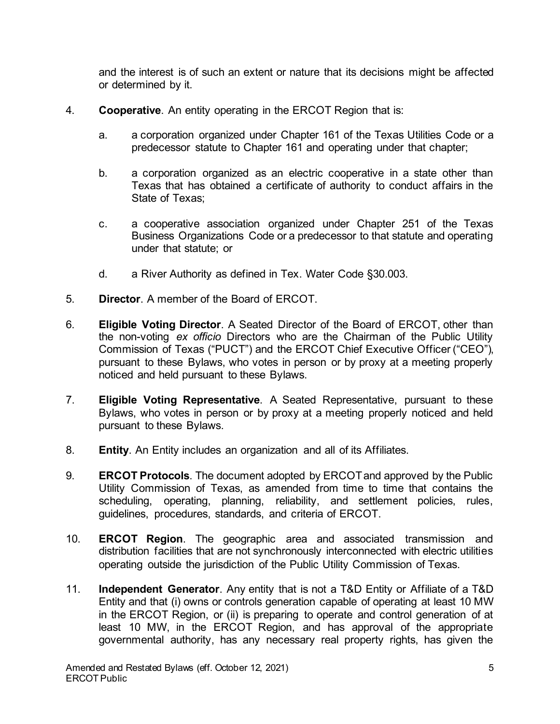and the interest is of such an extent or nature that its decisions might be affected or determined by it.

- 4. **Cooperative**. An entity operating in the ERCOT Region that is:
	- a. a corporation organized under Chapter 161 of the Texas Utilities Code or a predecessor statute to Chapter 161 and operating under that chapter;
	- b. a corporation organized as an electric cooperative in a state other than Texas that has obtained a certificate of authority to conduct affairs in the State of Texas;
	- c. a cooperative association organized under Chapter 251 of the Texas Business Organizations Code or a predecessor to that statute and operating under that statute; or
	- d. a River Authority as defined in Tex. Water Code §30.003.
- 5. **Director**. A member of the Board of ERCOT.
- 6. **Eligible Voting Director**. A Seated Director of the Board of ERCOT, other than the non-voting *ex officio* Directors who are the Chairman of the Public Utility Commission of Texas ("PUCT") and the ERCOT Chief Executive Officer ("CEO"), pursuant to these Bylaws, who votes in person or by proxy at a meeting properly noticed and held pursuant to these Bylaws.
- 7. **Eligible Voting Representative**. A Seated Representative, pursuant to these Bylaws, who votes in person or by proxy at a meeting properly noticed and held pursuant to these Bylaws.
- 8. **Entity**. An Entity includes an organization and all of its Affiliates.
- 9. **ERCOT Protocols**. The document adopted by ERCOT and approved by the Public Utility Commission of Texas, as amended from time to time that contains the scheduling, operating, planning, reliability, and settlement policies, rules, guidelines, procedures, standards, and criteria of ERCOT.
- 10. **ERCOT Region**. The geographic area and associated transmission and distribution facilities that are not synchronously interconnected with electric utilities operating outside the jurisdiction of the Public Utility Commission of Texas.
- 11. **Independent Generator**. Any entity that is not a T&D Entity or Affiliate of a T&D Entity and that (i) owns or controls generation capable of operating at least 10 MW in the ERCOT Region, or (ii) is preparing to operate and control generation of at least 10 MW, in the ERCOT Region, and has approval of the appropriate governmental authority, has any necessary real property rights, has given the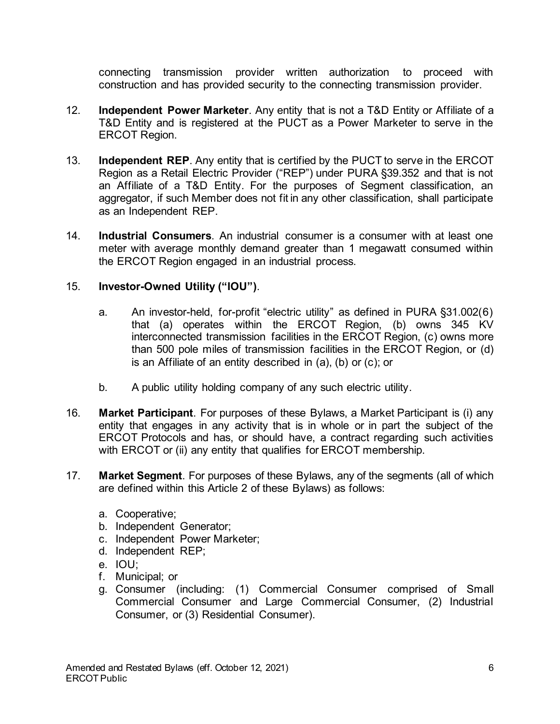connecting transmission provider written authorization to proceed with construction and has provided security to the connecting transmission provider.

- 12. **Independent Power Marketer**. Any entity that is not a T&D Entity or Affiliate of a T&D Entity and is registered at the PUCT as a Power Marketer to serve in the ERCOT Region.
- 13. **Independent REP**. Any entity that is certified by the PUCT to serve in the ERCOT Region as a Retail Electric Provider ("REP") under PURA §39.352 and that is not an Affiliate of a T&D Entity. For the purposes of Segment classification, an aggregator, if such Member does not fit in any other classification, shall participate as an Independent REP.
- 14. **Industrial Consumers**. An industrial consumer is a consumer with at least one meter with average monthly demand greater than 1 megawatt consumed within the ERCOT Region engaged in an industrial process.

### 15. **Investor-Owned Utility ("IOU")**.

- a. An investor-held, for-profit "electric utility" as defined in PURA §31.002(6) that (a) operates within the ERCOT Region, (b) owns 345 KV interconnected transmission facilities in the ERCOT Region, (c) owns more than 500 pole miles of transmission facilities in the ERCOT Region, or (d) is an Affiliate of an entity described in (a), (b) or (c); or
- b. A public utility holding company of any such electric utility.
- 16. **Market Participant**. For purposes of these Bylaws, a Market Participant is (i) any entity that engages in any activity that is in whole or in part the subject of the ERCOT Protocols and has, or should have, a contract regarding such activities with ERCOT or (ii) any entity that qualifies for ERCOT membership.
- 17. **Market Segment**. For purposes of these Bylaws, any of the segments (all of which are defined within this Article 2 of these Bylaws) as follows:
	- a. Cooperative;
	- b. Independent Generator;
	- c. Independent Power Marketer;
	- d. Independent REP;
	- e. IOU;
	- f. Municipal; or
	- g. Consumer (including: (1) Commercial Consumer comprised of Small Commercial Consumer and Large Commercial Consumer, (2) Industrial Consumer, or (3) Residential Consumer).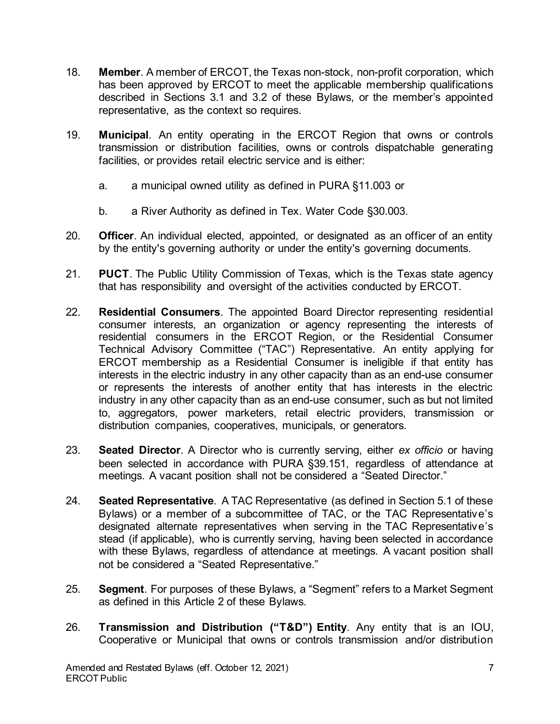- 18. **Member**. A member of ERCOT, the Texas non-stock, non-profit corporation, which has been approved by ERCOT to meet the applicable membership qualifications described in Sections 3.1 and 3.2 of these Bylaws, or the member's appointed representative, as the context so requires.
- 19. **Municipal**. An entity operating in the ERCOT Region that owns or controls transmission or distribution facilities, owns or controls dispatchable generating facilities, or provides retail electric service and is either:
	- a. a municipal owned utility as defined in PURA §11.003 or
	- b. a River Authority as defined in Tex. Water Code §30.003.
- 20. **Officer**. An individual elected, appointed, or designated as an officer of an entity by the entity's governing authority or under the entity's governing documents.
- 21. **PUCT**. The Public Utility Commission of Texas, which is the Texas state agency that has responsibility and oversight of the activities conducted by ERCOT.
- 22. **Residential Consumers**. The appointed Board Director representing residential consumer interests, an organization or agency representing the interests of residential consumers in the ERCOT Region, or the Residential Consumer Technical Advisory Committee ("TAC") Representative. An entity applying for ERCOT membership as a Residential Consumer is ineligible if that entity has interests in the electric industry in any other capacity than as an end-use consumer or represents the interests of another entity that has interests in the electric industry in any other capacity than as an end-use consumer, such as but not limited to, aggregators, power marketers, retail electric providers, transmission or distribution companies, cooperatives, municipals, or generators.
- 23. **Seated Director**. A Director who is currently serving, either *ex officio* or having been selected in accordance with PURA §39.151, regardless of attendance at meetings. A vacant position shall not be considered a "Seated Director."
- 24. **Seated Representative**. A TAC Representative (as defined in Section 5.1 of these Bylaws) or a member of a subcommittee of TAC, or the TAC Representative's designated alternate representatives when serving in the TAC Representative's stead (if applicable), who is currently serving, having been selected in accordance with these Bylaws, regardless of attendance at meetings. A vacant position shall not be considered a "Seated Representative."
- 25. **Segment**. For purposes of these Bylaws, a "Segment" refers to a Market Segment as defined in this Article 2 of these Bylaws.
- 26. **Transmission and Distribution ("T&D") Entity**. Any entity that is an IOU, Cooperative or Municipal that owns or controls transmission and/or distribution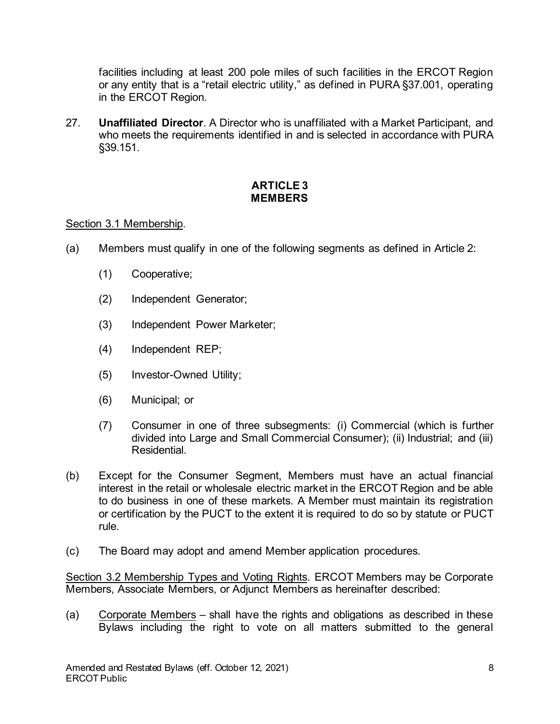facilities including at least 200 pole miles of such facilities in the ERCOT Region or any entity that is a "retail electric utility," as defined in PURA §37.001, operating in the ERCOT Region.

27. **Unaffiliated Director**. A Director who is unaffiliated with a Market Participant, and who meets the requirements identified in and is selected in accordance with PURA §39.151.

# **ARTICLE 3 MEMBERS**

### Section 3.1 Membership.

- (a) Members must qualify in one of the following segments as defined in Article 2:
	- (1) Cooperative;
	- (2) Independent Generator;
	- (3) Independent Power Marketer;
	- (4) Independent REP;
	- (5) Investor-Owned Utility;
	- (6) Municipal; or
	- (7) Consumer in one of three subsegments: (i) Commercial (which is further divided into Large and Small Commercial Consumer); (ii) Industrial; and (iii) **Residential**
- (b) Except for the Consumer Segment, Members must have an actual financial interest in the retail or wholesale electric market in the ERCOT Region and be able to do business in one of these markets. A Member must maintain its registration or certification by the PUCT to the extent it is required to do so by statute or PUCT rule.
- (c) The Board may adopt and amend Member application procedures.

Section 3.2 Membership Types and Voting Rights. ERCOT Members may be Corporate Members, Associate Members, or Adjunct Members as hereinafter described:

(a) Corporate Members – shall have the rights and obligations as described in these Bylaws including the right to vote on all matters submitted to the general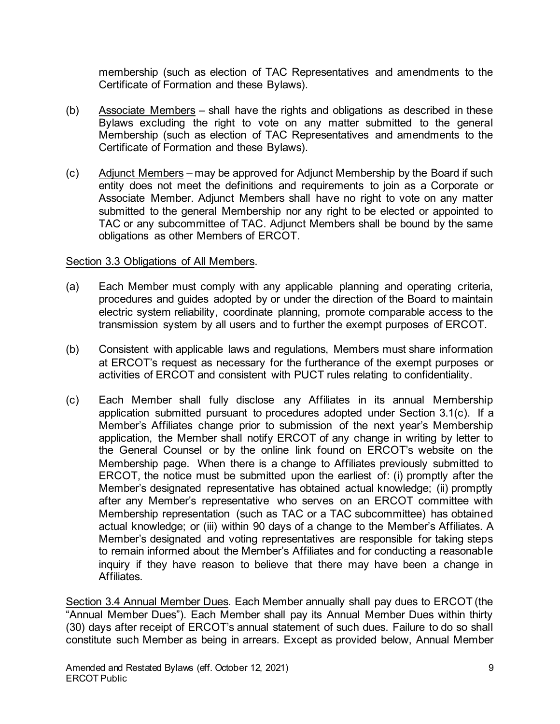membership (such as election of TAC Representatives and amendments to the Certificate of Formation and these Bylaws).

- (b) Associate Members shall have the rights and obligations as described in these Bylaws excluding the right to vote on any matter submitted to the general Membership (such as election of TAC Representatives and amendments to the Certificate of Formation and these Bylaws).
- (c) Adjunct Members may be approved for Adjunct Membership by the Board if such entity does not meet the definitions and requirements to join as a Corporate or Associate Member. Adjunct Members shall have no right to vote on any matter submitted to the general Membership nor any right to be elected or appointed to TAC or any subcommittee of TAC. Adjunct Members shall be bound by the same obligations as other Members of ERCOT.

#### Section 3.3 Obligations of All Members.

- (a) Each Member must comply with any applicable planning and operating criteria, procedures and guides adopted by or under the direction of the Board to maintain electric system reliability, coordinate planning, promote comparable access to the transmission system by all users and to further the exempt purposes of ERCOT.
- (b) Consistent with applicable laws and regulations, Members must share information at ERCOT's request as necessary for the furtherance of the exempt purposes or activities of ERCOT and consistent with PUCT rules relating to confidentiality.
- (c) Each Member shall fully disclose any Affiliates in its annual Membership application submitted pursuant to procedures adopted under Section 3.1(c). If a Member's Affiliates change prior to submission of the next year's Membership application, the Member shall notify ERCOT of any change in writing by letter to the General Counsel or by the online link found on ERCOT's website on the Membership page. When there is a change to Affiliates previously submitted to ERCOT, the notice must be submitted upon the earliest of: (i) promptly after the Member's designated representative has obtained actual knowledge; (ii) promptly after any Member's representative who serves on an ERCOT committee with Membership representation (such as TAC or a TAC subcommittee) has obtained actual knowledge; or (iii) within 90 days of a change to the Member's Affiliates. A Member's designated and voting representatives are responsible for taking steps to remain informed about the Member's Affiliates and for conducting a reasonable inquiry if they have reason to believe that there may have been a change in Affiliates.

Section 3.4 Annual Member Dues. Each Member annually shall pay dues to ERCOT (the "Annual Member Dues"). Each Member shall pay its Annual Member Dues within thirty (30) days after receipt of ERCOT's annual statement of such dues. Failure to do so shall constitute such Member as being in arrears. Except as provided below, Annual Member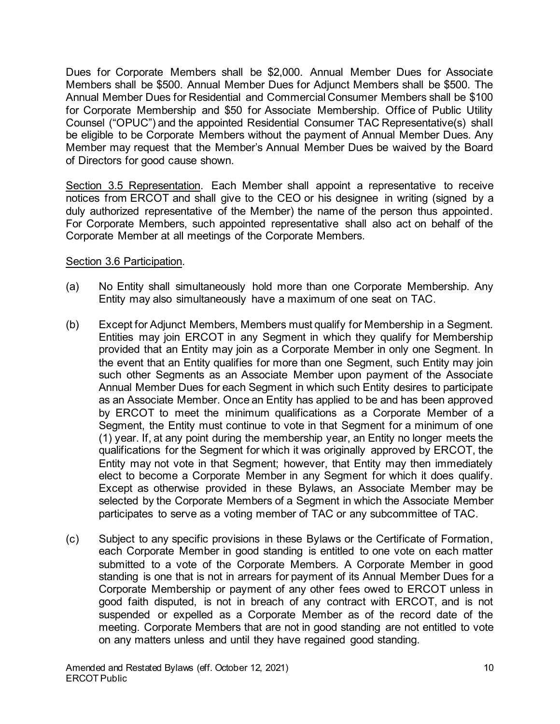Dues for Corporate Members shall be \$2,000. Annual Member Dues for Associate Members shall be \$500. Annual Member Dues for Adjunct Members shall be \$500. The Annual Member Dues for Residential and Commercial Consumer Members shall be \$100 for Corporate Membership and \$50 for Associate Membership. Office of Public Utility Counsel ("OPUC") and the appointed Residential Consumer TAC Representative(s) shall be eligible to be Corporate Members without the payment of Annual Member Dues. Any Member may request that the Member's Annual Member Dues be waived by the Board of Directors for good cause shown.

Section 3.5 Representation. Each Member shall appoint a representative to receive notices from ERCOT and shall give to the CEO or his designee in writing (signed by a duly authorized representative of the Member) the name of the person thus appointed. For Corporate Members, such appointed representative shall also act on behalf of the Corporate Member at all meetings of the Corporate Members.

### Section 3.6 Participation.

- (a) No Entity shall simultaneously hold more than one Corporate Membership. Any Entity may also simultaneously have a maximum of one seat on TAC.
- (b) Except for Adjunct Members, Members must qualify for Membership in a Segment. Entities may join ERCOT in any Segment in which they qualify for Membership provided that an Entity may join as a Corporate Member in only one Segment. In the event that an Entity qualifies for more than one Segment, such Entity may join such other Segments as an Associate Member upon payment of the Associate Annual Member Dues for each Segment in which such Entity desires to participate as an Associate Member. Once an Entity has applied to be and has been approved by ERCOT to meet the minimum qualifications as a Corporate Member of a Segment, the Entity must continue to vote in that Segment for a minimum of one (1) year. If, at any point during the membership year, an Entity no longer meets the qualifications for the Segment for which it was originally approved by ERCOT, the Entity may not vote in that Segment; however, that Entity may then immediately elect to become a Corporate Member in any Segment for which it does qualify. Except as otherwise provided in these Bylaws, an Associate Member may be selected by the Corporate Members of a Segment in which the Associate Member participates to serve as a voting member of TAC or any subcommittee of TAC.
- (c) Subject to any specific provisions in these Bylaws or the Certificate of Formation, each Corporate Member in good standing is entitled to one vote on each matter submitted to a vote of the Corporate Members. A Corporate Member in good standing is one that is not in arrears for payment of its Annual Member Dues for a Corporate Membership or payment of any other fees owed to ERCOT unless in good faith disputed, is not in breach of any contract with ERCOT, and is not suspended or expelled as a Corporate Member as of the record date of the meeting. Corporate Members that are not in good standing are not entitled to vote on any matters unless and until they have regained good standing.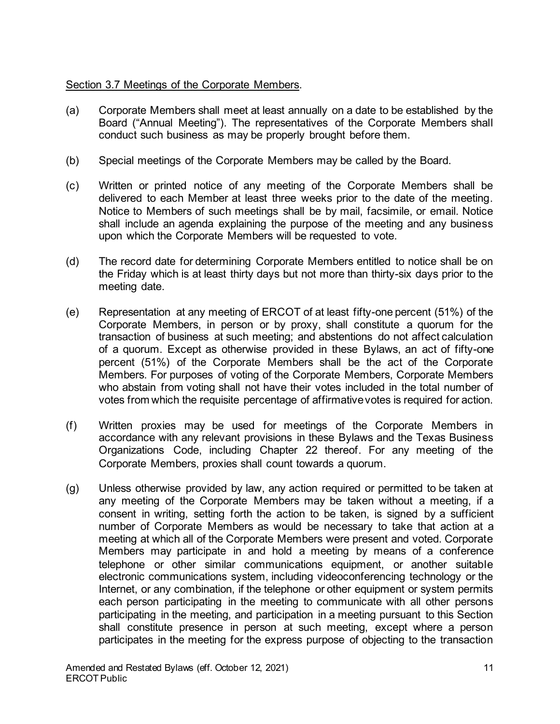# Section 3.7 Meetings of the Corporate Members.

- (a) Corporate Members shall meet at least annually on a date to be established by the Board ("Annual Meeting"). The representatives of the Corporate Members shall conduct such business as may be properly brought before them.
- (b) Special meetings of the Corporate Members may be called by the Board.
- (c) Written or printed notice of any meeting of the Corporate Members shall be delivered to each Member at least three weeks prior to the date of the meeting. Notice to Members of such meetings shall be by mail, facsimile, or email. Notice shall include an agenda explaining the purpose of the meeting and any business upon which the Corporate Members will be requested to vote.
- (d) The record date for determining Corporate Members entitled to notice shall be on the Friday which is at least thirty days but not more than thirty-six days prior to the meeting date.
- (e) Representation at any meeting of ERCOT of at least fifty-one percent (51%) of the Corporate Members, in person or by proxy, shall constitute a quorum for the transaction of business at such meeting; and abstentions do not affect calculation of a quorum. Except as otherwise provided in these Bylaws, an act of fifty-one percent (51%) of the Corporate Members shall be the act of the Corporate Members. For purposes of voting of the Corporate Members, Corporate Members who abstain from voting shall not have their votes included in the total number of votes from which the requisite percentage of affirmative votes is required for action.
- (f) Written proxies may be used for meetings of the Corporate Members in accordance with any relevant provisions in these Bylaws and the Texas Business Organizations Code, including Chapter 22 thereof. For any meeting of the Corporate Members, proxies shall count towards a quorum.
- (g) Unless otherwise provided by law, any action required or permitted to be taken at any meeting of the Corporate Members may be taken without a meeting, if a consent in writing, setting forth the action to be taken, is signed by a sufficient number of Corporate Members as would be necessary to take that action at a meeting at which all of the Corporate Members were present and voted. Corporate Members may participate in and hold a meeting by means of a conference telephone or other similar communications equipment, or another suitable electronic communications system, including videoconferencing technology or the Internet, or any combination, if the telephone or other equipment or system permits each person participating in the meeting to communicate with all other persons participating in the meeting, and participation in a meeting pursuant to this Section shall constitute presence in person at such meeting, except where a person participates in the meeting for the express purpose of objecting to the transaction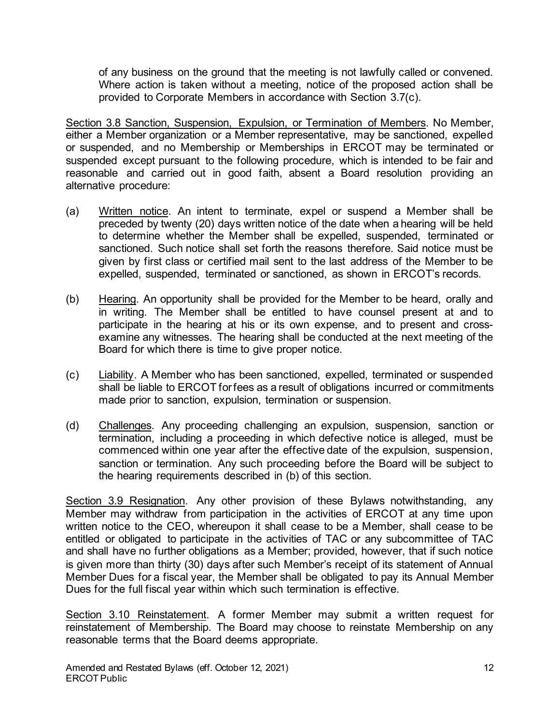of any business on the ground that the meeting is not lawfully called or convened. Where action is taken without a meeting, notice of the proposed action shall be provided to Corporate Members in accordance with Section 3.7(c).

Section 3.8 Sanction, Suspension, Expulsion, or Termination of Members. No Member, either a Member organization or a Member representative, may be sanctioned, expelled or suspended, and no Membership or Memberships in ERCOT may be terminated or suspended except pursuant to the following procedure, which is intended to be fair and reasonable and carried out in good faith, absent a Board resolution providing an alternative procedure:

- (a) Written notice. An intent to terminate, expel or suspend a Member shall be preceded by twenty (20) days written notice of the date when a hearing will be held to determine whether the Member shall be expelled, suspended, terminated or sanctioned. Such notice shall set forth the reasons therefore. Said notice must be given by first class or certified mail sent to the last address of the Member to be expelled, suspended, terminated or sanctioned, as shown in ERCOT's records.
- (b) Hearing. An opportunity shall be provided for the Member to be heard, orally and in writing. The Member shall be entitled to have counsel present at and to participate in the hearing at his or its own expense, and to present and crossexamine any witnesses. The hearing shall be conducted at the next meeting of the Board for which there is time to give proper notice.
- (c) Liability. A Member who has been sanctioned, expelled, terminated or suspended shall be liable to ERCOT for fees as a result of obligations incurred or commitments made prior to sanction, expulsion, termination or suspension.
- (d) Challenges. Any proceeding challenging an expulsion, suspension, sanction or termination, including a proceeding in which defective notice is alleged, must be commenced within one year after the effective date of the expulsion, suspension, sanction or termination. Any such proceeding before the Board will be subject to the hearing requirements described in (b) of this section.

Section 3.9 Resignation. Any other provision of these Bylaws notwithstanding, any Member may withdraw from participation in the activities of ERCOT at any time upon written notice to the CEO, whereupon it shall cease to be a Member, shall cease to be entitled or obligated to participate in the activities of TAC or any subcommittee of TAC and shall have no further obligations as a Member; provided, however, that if such notice is given more than thirty (30) days after such Member's receipt of its statement of Annual Member Dues for a fiscal year, the Member shall be obligated to pay its Annual Member Dues for the full fiscal year within which such termination is effective.

Section 3.10 Reinstatement. A former Member may submit a written request for reinstatement of Membership. The Board may choose to reinstate Membership on any reasonable terms that the Board deems appropriate.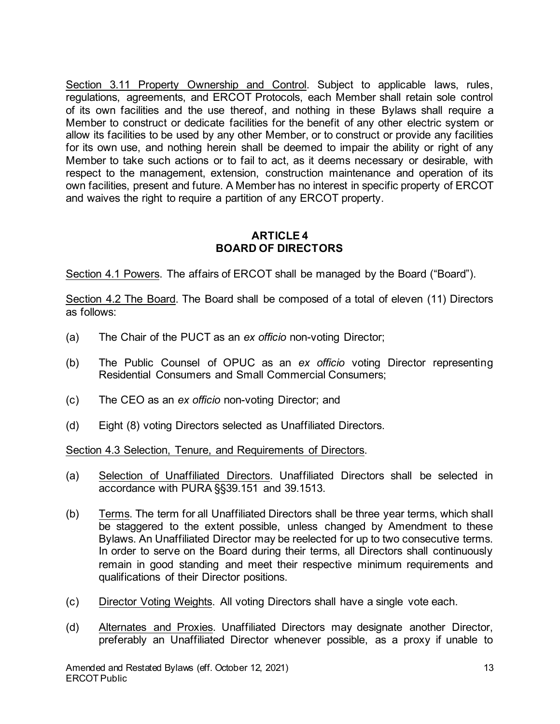Section 3.11 Property Ownership and Control. Subject to applicable laws, rules, regulations, agreements, and ERCOT Protocols, each Member shall retain sole control of its own facilities and the use thereof, and nothing in these Bylaws shall require a Member to construct or dedicate facilities for the benefit of any other electric system or allow its facilities to be used by any other Member, or to construct or provide any facilities for its own use, and nothing herein shall be deemed to impair the ability or right of any Member to take such actions or to fail to act, as it deems necessary or desirable, with respect to the management, extension, construction maintenance and operation of its own facilities, present and future. A Member has no interest in specific property of ERCOT and waives the right to require a partition of any ERCOT property.

### **ARTICLE 4 BOARD OF DIRECTORS**

Section 4.1 Powers. The affairs of ERCOT shall be managed by the Board ("Board").

Section 4.2 The Board. The Board shall be composed of a total of eleven (11) Directors as follows:

- (a) The Chair of the PUCT as an *ex officio* non-voting Director;
- (b) The Public Counsel of OPUC as an *ex officio* voting Director representing Residential Consumers and Small Commercial Consumers;
- (c) The CEO as an *ex officio* non-voting Director; and
- (d) Eight (8) voting Directors selected as Unaffiliated Directors.

Section 4.3 Selection, Tenure, and Requirements of Directors.

- (a) Selection of Unaffiliated Directors. Unaffiliated Directors shall be selected in accordance with PURA §§39.151 and 39.1513.
- (b) Terms. The term for all Unaffiliated Directors shall be three year terms, which shall be staggered to the extent possible, unless changed by Amendment to these Bylaws. An Unaffiliated Director may be reelected for up to two consecutive terms. In order to serve on the Board during their terms, all Directors shall continuously remain in good standing and meet their respective minimum requirements and qualifications of their Director positions.
- (c) Director Voting Weights. All voting Directors shall have a single vote each.
- (d) Alternates and Proxies. Unaffiliated Directors may designate another Director, preferably an Unaffiliated Director whenever possible, as a proxy if unable to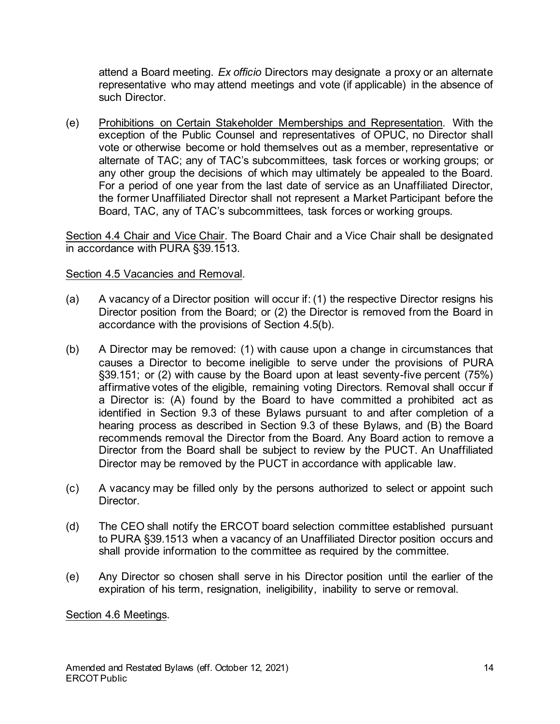attend a Board meeting. *Ex officio* Directors may designate a proxy or an alternate representative who may attend meetings and vote (if applicable) in the absence of such Director.

(e) Prohibitions on Certain Stakeholder Memberships and Representation. With the exception of the Public Counsel and representatives of OPUC, no Director shall vote or otherwise become or hold themselves out as a member, representative or alternate of TAC; any of TAC's subcommittees, task forces or working groups; or any other group the decisions of which may ultimately be appealed to the Board. For a period of one year from the last date of service as an Unaffiliated Director, the former Unaffiliated Director shall not represent a Market Participant before the Board, TAC, any of TAC's subcommittees, task forces or working groups.

Section 4.4 Chair and Vice Chair. The Board Chair and a Vice Chair shall be designated in accordance with PURA §39.1513.

### Section 4.5 Vacancies and Removal.

- (a) A vacancy of a Director position will occur if: (1) the respective Director resigns his Director position from the Board; or (2) the Director is removed from the Board in accordance with the provisions of Section 4.5(b).
- (b) A Director may be removed: (1) with cause upon a change in circumstances that causes a Director to become ineligible to serve under the provisions of PURA §39.151; or (2) with cause by the Board upon at least seventy-five percent (75%) affirmative votes of the eligible, remaining voting Directors. Removal shall occur if a Director is: (A) found by the Board to have committed a prohibited act as identified in Section 9.3 of these Bylaws pursuant to and after completion of a hearing process as described in Section 9.3 of these Bylaws, and (B) the Board recommends removal the Director from the Board. Any Board action to remove a Director from the Board shall be subject to review by the PUCT. An Unaffiliated Director may be removed by the PUCT in accordance with applicable law.
- (c) A vacancy may be filled only by the persons authorized to select or appoint such Director.
- (d) The CEO shall notify the ERCOT board selection committee established pursuant to PURA §39.1513 when a vacancy of an Unaffiliated Director position occurs and shall provide information to the committee as required by the committee.
- (e) Any Director so chosen shall serve in his Director position until the earlier of the expiration of his term, resignation, ineligibility, inability to serve or removal.

Section 4.6 Meetings.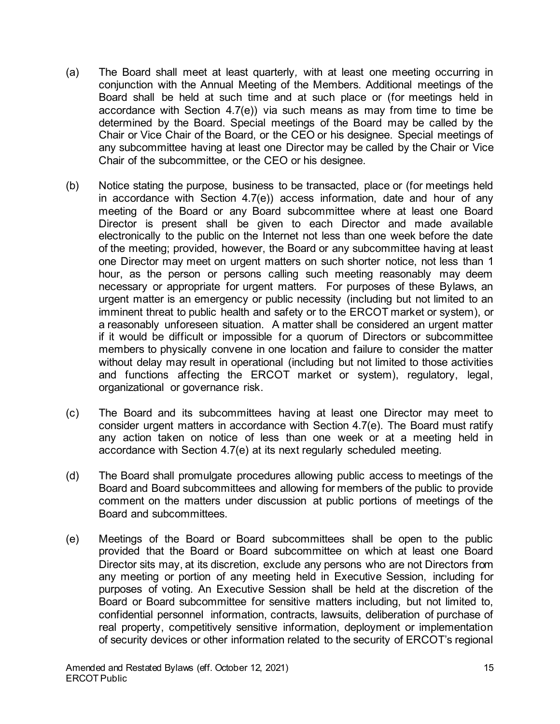- (a) The Board shall meet at least quarterly*,* with at least one meeting occurring in conjunction with the Annual Meeting of the Members. Additional meetings of the Board shall be held at such time and at such place or (for meetings held in accordance with Section 4.7(e)) via such means as may from time to time be determined by the Board. Special meetings of the Board may be called by the Chair or Vice Chair of the Board, or the CEO or his designee. Special meetings of any subcommittee having at least one Director may be called by the Chair or Vice Chair of the subcommittee, or the CEO or his designee.
- (b) Notice stating the purpose, business to be transacted, place or (for meetings held in accordance with Section 4.7(e)) access information, date and hour of any meeting of the Board or any Board subcommittee where at least one Board Director is present shall be given to each Director and made available electronically to the public on the Internet not less than one week before the date of the meeting; provided, however, the Board or any subcommittee having at least one Director may meet on urgent matters on such shorter notice, not less than 1 hour, as the person or persons calling such meeting reasonably may deem necessary or appropriate for urgent matters. For purposes of these Bylaws, an urgent matter is an emergency or public necessity (including but not limited to an imminent threat to public health and safety or to the ERCOT market or system), or a reasonably unforeseen situation. A matter shall be considered an urgent matter if it would be difficult or impossible for a quorum of Directors or subcommittee members to physically convene in one location and failure to consider the matter without delay may result in operational (including but not limited to those activities and functions affecting the ERCOT market or system), regulatory, legal, organizational or governance risk.
- (c) The Board and its subcommittees having at least one Director may meet to consider urgent matters in accordance with Section 4.7(e). The Board must ratify any action taken on notice of less than one week or at a meeting held in accordance with Section 4.7(e) at its next regularly scheduled meeting.
- (d) The Board shall promulgate procedures allowing public access to meetings of the Board and Board subcommittees and allowing for members of the public to provide comment on the matters under discussion at public portions of meetings of the Board and subcommittees.
- (e) Meetings of the Board or Board subcommittees shall be open to the public provided that the Board or Board subcommittee on which at least one Board Director sits may, at its discretion, exclude any persons who are not Directors from any meeting or portion of any meeting held in Executive Session, including for purposes of voting. An Executive Session shall be held at the discretion of the Board or Board subcommittee for sensitive matters including, but not limited to, confidential personnel information, contracts, lawsuits, deliberation of purchase of real property, competitively sensitive information, deployment or implementation of security devices or other information related to the security of ERCOT's regional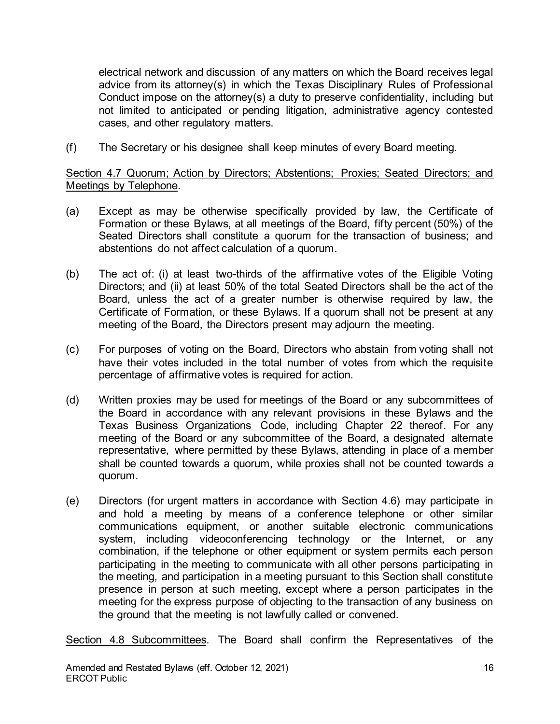electrical network and discussion of any matters on which the Board receives legal advice from its attorney(s) in which the Texas Disciplinary Rules of Professional Conduct impose on the attorney(s) a duty to preserve confidentiality, including but not limited to anticipated or pending litigation, administrative agency contested cases, and other regulatory matters.

(f) The Secretary or his designee shall keep minutes of every Board meeting.

Section 4.7 Quorum; Action by Directors; Abstentions; Proxies; Seated Directors; and Meetings by Telephone.

- (a) Except as may be otherwise specifically provided by law, the Certificate of Formation or these Bylaws, at all meetings of the Board, fifty percent (50%) of the Seated Directors shall constitute a quorum for the transaction of business; and abstentions do not affect calculation of a quorum.
- (b) The act of: (i) at least two-thirds of the affirmative votes of the Eligible Voting Directors; and (ii) at least 50% of the total Seated Directors shall be the act of the Board, unless the act of a greater number is otherwise required by law, the Certificate of Formation, or these Bylaws. If a quorum shall not be present at any meeting of the Board, the Directors present may adjourn the meeting.
- (c) For purposes of voting on the Board, Directors who abstain from voting shall not have their votes included in the total number of votes from which the requisite percentage of affirmative votes is required for action.
- (d) Written proxies may be used for meetings of the Board or any subcommittees of the Board in accordance with any relevant provisions in these Bylaws and the Texas Business Organizations Code, including Chapter 22 thereof. For any meeting of the Board or any subcommittee of the Board, a designated alternate representative, where permitted by these Bylaws, attending in place of a member shall be counted towards a quorum, while proxies shall not be counted towards a quorum.
- (e) Directors (for urgent matters in accordance with Section 4.6) may participate in and hold a meeting by means of a conference telephone or other similar communications equipment, or another suitable electronic communications system, including videoconferencing technology or the Internet, or any combination, if the telephone or other equipment or system permits each person participating in the meeting to communicate with all other persons participating in the meeting, and participation in a meeting pursuant to this Section shall constitute presence in person at such meeting, except where a person participates in the meeting for the express purpose of objecting to the transaction of any business on the ground that the meeting is not lawfully called or convened.

Section 4.8 Subcommittees. The Board shall confirm the Representatives of the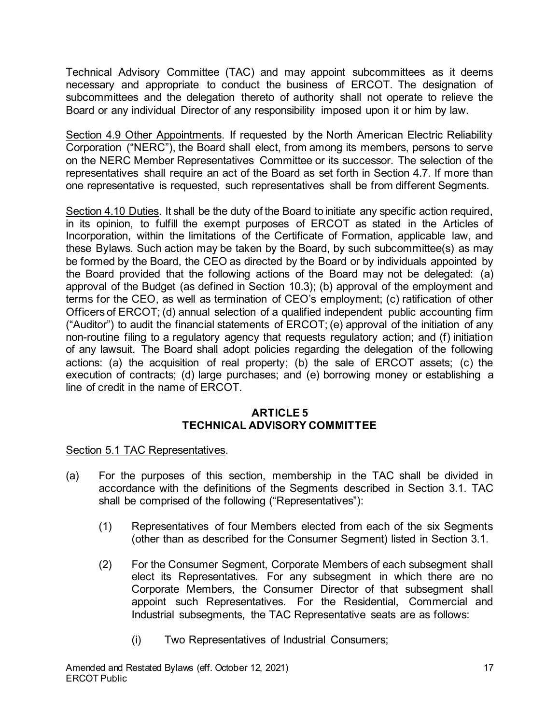Technical Advisory Committee (TAC) and may appoint subcommittees as it deems necessary and appropriate to conduct the business of ERCOT. The designation of subcommittees and the delegation thereto of authority shall not operate to relieve the Board or any individual Director of any responsibility imposed upon it or him by law.

Section 4.9 Other Appointments. If requested by the North American Electric Reliability Corporation ("NERC"), the Board shall elect, from among its members, persons to serve on the NERC Member Representatives Committee or its successor. The selection of the representatives shall require an act of the Board as set forth in Section 4.7. If more than one representative is requested, such representatives shall be from different Segments.

Section 4.10 Duties. It shall be the duty of the Board to initiate any specific action required, in its opinion, to fulfill the exempt purposes of ERCOT as stated in the Articles of Incorporation, within the limitations of the Certificate of Formation, applicable law, and these Bylaws. Such action may be taken by the Board, by such subcommittee(s) as may be formed by the Board, the CEO as directed by the Board or by individuals appointed by the Board provided that the following actions of the Board may not be delegated: (a) approval of the Budget (as defined in Section 10.3); (b) approval of the employment and terms for the CEO, as well as termination of CEO's employment; (c) ratification of other Officers of ERCOT; (d) annual selection of a qualified independent public accounting firm ("Auditor") to audit the financial statements of ERCOT; (e) approval of the initiation of any non-routine filing to a regulatory agency that requests regulatory action; and (f) initiation of any lawsuit. The Board shall adopt policies regarding the delegation of the following actions: (a) the acquisition of real property; (b) the sale of ERCOT assets; (c) the execution of contracts; (d) large purchases; and (e) borrowing money or establishing a line of credit in the name of ERCOT.

#### **ARTICLE 5 TECHNICAL ADVISORY COMMITTEE**

Section 5.1 TAC Representatives.

- (a) For the purposes of this section, membership in the TAC shall be divided in accordance with the definitions of the Segments described in Section 3.1. TAC shall be comprised of the following ("Representatives"):
	- (1) Representatives of four Members elected from each of the six Segments (other than as described for the Consumer Segment) listed in Section 3.1.
	- (2) For the Consumer Segment, Corporate Members of each subsegment shall elect its Representatives. For any subsegment in which there are no Corporate Members, the Consumer Director of that subsegment shall appoint such Representatives. For the Residential, Commercial and Industrial subsegments, the TAC Representative seats are as follows:
		- (i) Two Representatives of Industrial Consumers;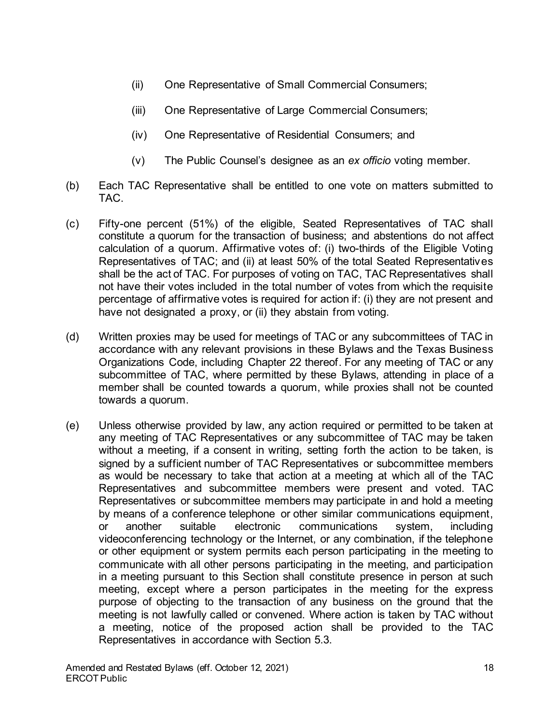- (ii) One Representative of Small Commercial Consumers;
- (iii) One Representative of Large Commercial Consumers;
- (iv) One Representative of Residential Consumers; and
- (v) The Public Counsel's designee as an *ex officio* voting member.
- (b) Each TAC Representative shall be entitled to one vote on matters submitted to TAC.
- (c) Fifty-one percent (51%) of the eligible, Seated Representatives of TAC shall constitute a quorum for the transaction of business; and abstentions do not affect calculation of a quorum. Affirmative votes of: (i) two-thirds of the Eligible Voting Representatives of TAC; and (ii) at least 50% of the total Seated Representatives shall be the act of TAC. For purposes of voting on TAC, TAC Representatives shall not have their votes included in the total number of votes from which the requisite percentage of affirmative votes is required for action if: (i) they are not present and have not designated a proxy, or (ii) they abstain from voting.
- (d) Written proxies may be used for meetings of TAC or any subcommittees of TAC in accordance with any relevant provisions in these Bylaws and the Texas Business Organizations Code, including Chapter 22 thereof. For any meeting of TAC or any subcommittee of TAC, where permitted by these Bylaws, attending in place of a member shall be counted towards a quorum, while proxies shall not be counted towards a quorum.
- (e) Unless otherwise provided by law, any action required or permitted to be taken at any meeting of TAC Representatives or any subcommittee of TAC may be taken without a meeting, if a consent in writing, setting forth the action to be taken, is signed by a sufficient number of TAC Representatives or subcommittee members as would be necessary to take that action at a meeting at which all of the TAC Representatives and subcommittee members were present and voted. TAC Representatives or subcommittee members may participate in and hold a meeting by means of a conference telephone or other similar communications equipment, or another suitable electronic communications system, including videoconferencing technology or the Internet, or any combination, if the telephone or other equipment or system permits each person participating in the meeting to communicate with all other persons participating in the meeting, and participation in a meeting pursuant to this Section shall constitute presence in person at such meeting, except where a person participates in the meeting for the express purpose of objecting to the transaction of any business on the ground that the meeting is not lawfully called or convened. Where action is taken by TAC without a meeting, notice of the proposed action shall be provided to the TAC Representatives in accordance with Section 5.3.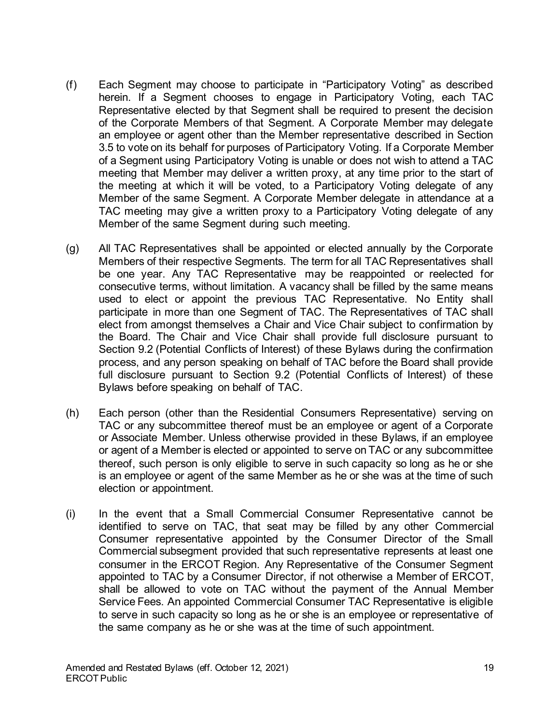- (f) Each Segment may choose to participate in "Participatory Voting" as described herein. If a Segment chooses to engage in Participatory Voting, each TAC Representative elected by that Segment shall be required to present the decision of the Corporate Members of that Segment. A Corporate Member may delegate an employee or agent other than the Member representative described in Section 3.5 to vote on its behalf for purposes of Participatory Voting. If a Corporate Member of a Segment using Participatory Voting is unable or does not wish to attend a TAC meeting that Member may deliver a written proxy, at any time prior to the start of the meeting at which it will be voted, to a Participatory Voting delegate of any Member of the same Segment. A Corporate Member delegate in attendance at a TAC meeting may give a written proxy to a Participatory Voting delegate of any Member of the same Segment during such meeting.
- (g) All TAC Representatives shall be appointed or elected annually by the Corporate Members of their respective Segments. The term for all TAC Representatives shall be one year. Any TAC Representative may be reappointed or reelected for consecutive terms, without limitation. A vacancy shall be filled by the same means used to elect or appoint the previous TAC Representative. No Entity shall participate in more than one Segment of TAC. The Representatives of TAC shall elect from amongst themselves a Chair and Vice Chair subject to confirmation by the Board. The Chair and Vice Chair shall provide full disclosure pursuant to Section 9.2 (Potential Conflicts of Interest) of these Bylaws during the confirmation process, and any person speaking on behalf of TAC before the Board shall provide full disclosure pursuant to Section 9.2 (Potential Conflicts of Interest) of these Bylaws before speaking on behalf of TAC.
- (h) Each person (other than the Residential Consumers Representative) serving on TAC or any subcommittee thereof must be an employee or agent of a Corporate or Associate Member. Unless otherwise provided in these Bylaws, if an employee or agent of a Member is elected or appointed to serve on TAC or any subcommittee thereof, such person is only eligible to serve in such capacity so long as he or she is an employee or agent of the same Member as he or she was at the time of such election or appointment.
- (i) In the event that a Small Commercial Consumer Representative cannot be identified to serve on TAC, that seat may be filled by any other Commercial Consumer representative appointed by the Consumer Director of the Small Commercial subsegment provided that such representative represents at least one consumer in the ERCOT Region. Any Representative of the Consumer Segment appointed to TAC by a Consumer Director, if not otherwise a Member of ERCOT, shall be allowed to vote on TAC without the payment of the Annual Member Service Fees. An appointed Commercial Consumer TAC Representative is eligible to serve in such capacity so long as he or she is an employee or representative of the same company as he or she was at the time of such appointment.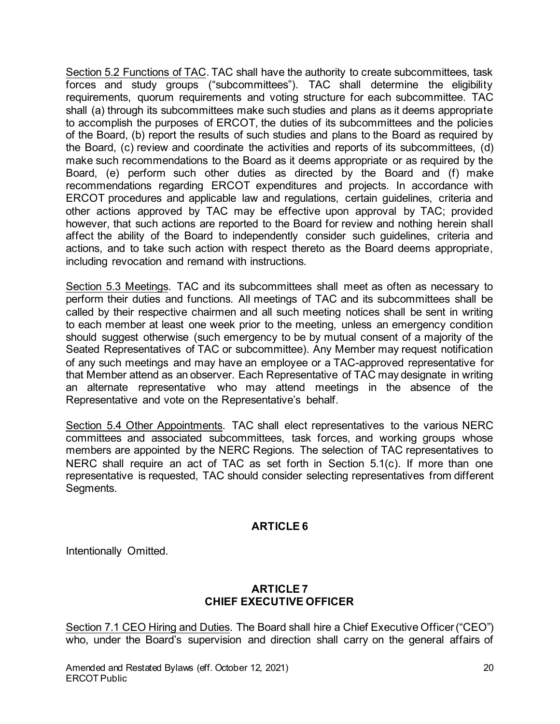Section 5.2 Functions of TAC. TAC shall have the authority to create subcommittees, task forces and study groups ("subcommittees"). TAC shall determine the eligibility requirements, quorum requirements and voting structure for each subcommittee. TAC shall (a) through its subcommittees make such studies and plans as it deems appropriate to accomplish the purposes of ERCOT, the duties of its subcommittees and the policies of the Board, (b) report the results of such studies and plans to the Board as required by the Board, (c) review and coordinate the activities and reports of its subcommittees, (d) make such recommendations to the Board as it deems appropriate or as required by the Board, (e) perform such other duties as directed by the Board and (f) make recommendations regarding ERCOT expenditures and projects. In accordance with ERCOT procedures and applicable law and regulations, certain guidelines, criteria and other actions approved by TAC may be effective upon approval by TAC; provided however, that such actions are reported to the Board for review and nothing herein shall affect the ability of the Board to independently consider such guidelines, criteria and actions, and to take such action with respect thereto as the Board deems appropriate, including revocation and remand with instructions.

Section 5.3 Meetings. TAC and its subcommittees shall meet as often as necessary to perform their duties and functions. All meetings of TAC and its subcommittees shall be called by their respective chairmen and all such meeting notices shall be sent in writing to each member at least one week prior to the meeting, unless an emergency condition should suggest otherwise (such emergency to be by mutual consent of a majority of the Seated Representatives of TAC or subcommittee). Any Member may request notification of any such meetings and may have an employee or a TAC-approved representative for that Member attend as an observer. Each Representative of TAC may designate in writing an alternate representative who may attend meetings in the absence of the Representative and vote on the Representative's behalf.

Section 5.4 Other Appointments. TAC shall elect representatives to the various NERC committees and associated subcommittees, task forces, and working groups whose members are appointed by the NERC Regions. The selection of TAC representatives to NERC shall require an act of TAC as set forth in Section 5.1(c). If more than one representative is requested, TAC should consider selecting representatives from different Segments.

# **ARTICLE 6**

Intentionally Omitted.

### **ARTICLE 7 CHIEF EXECUTIVE OFFICER**

Section 7.1 CEO Hiring and Duties. The Board shall hire a Chief Executive Officer ("CEO") who, under the Board's supervision and direction shall carry on the general affairs of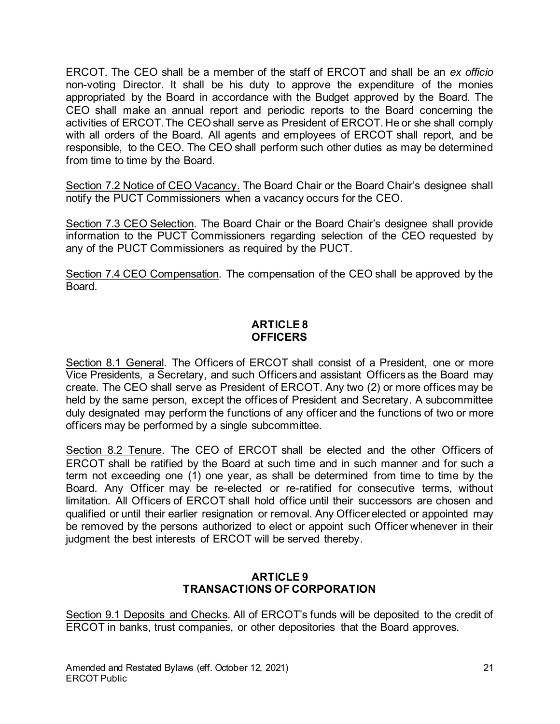ERCOT. The CEO shall be a member of the staff of ERCOT and shall be an *ex officio* non-voting Director. It shall be his duty to approve the expenditure of the monies appropriated by the Board in accordance with the Budget approved by the Board. The CEO shall make an annual report and periodic reports to the Board concerning the activities of ERCOT. The CEO shall serve as President of ERCOT. He or she shall comply with all orders of the Board. All agents and employees of ERCOT shall report, and be responsible, to the CEO. The CEO shall perform such other duties as may be determined from time to time by the Board.

Section 7.2 Notice of CEO Vacancy. The Board Chair or the Board Chair's designee shall notify the PUCT Commissioners when a vacancy occurs for the CEO.

Section 7.3 CEO Selection. The Board Chair or the Board Chair's designee shall provide information to the PUCT Commissioners regarding selection of the CEO requested by any of the PUCT Commissioners as required by the PUCT.

Section 7.4 CEO Compensation. The compensation of the CEO shall be approved by the Board.

# **ARTICLE 8 OFFICERS**

Section 8.1 General. The Officers of ERCOT shall consist of a President, one or more Vice Presidents, a Secretary, and such Officers and assistant Officers as the Board may create. The CEO shall serve as President of ERCOT. Any two (2) or more offices may be held by the same person, except the offices of President and Secretary. A subcommittee duly designated may perform the functions of any officer and the functions of two or more officers may be performed by a single subcommittee.

Section 8.2 Tenure. The CEO of ERCOT shall be elected and the other Officers of ERCOT shall be ratified by the Board at such time and in such manner and for such a term not exceeding one (1) one year, as shall be determined from time to time by the Board. Any Officer may be re-elected or re-ratified for consecutive terms, without limitation. All Officers of ERCOT shall hold office until their successors are chosen and qualified or until their earlier resignation or removal. Any Officer elected or appointed may be removed by the persons authorized to elect or appoint such Officer whenever in their judgment the best interests of ERCOT will be served thereby.

### **ARTICLE 9 TRANSACTIONS OF CORPORATION**

Section 9.1 Deposits and Checks. All of ERCOT's funds will be deposited to the credit of ERCOT in banks, trust companies, or other depositories that the Board approves.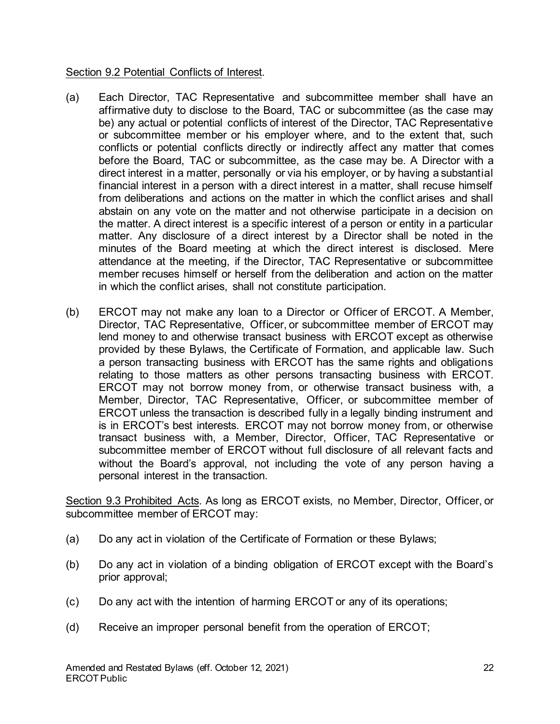#### Section 9.2 Potential Conflicts of Interest.

- (a) Each Director, TAC Representative and subcommittee member shall have an affirmative duty to disclose to the Board, TAC or subcommittee (as the case may be) any actual or potential conflicts of interest of the Director, TAC Representative or subcommittee member or his employer where, and to the extent that, such conflicts or potential conflicts directly or indirectly affect any matter that comes before the Board, TAC or subcommittee, as the case may be. A Director with a direct interest in a matter, personally or via his employer, or by having a substantial financial interest in a person with a direct interest in a matter, shall recuse himself from deliberations and actions on the matter in which the conflict arises and shall abstain on any vote on the matter and not otherwise participate in a decision on the matter. A direct interest is a specific interest of a person or entity in a particular matter. Any disclosure of a direct interest by a Director shall be noted in the minutes of the Board meeting at which the direct interest is disclosed. Mere attendance at the meeting, if the Director, TAC Representative or subcommittee member recuses himself or herself from the deliberation and action on the matter in which the conflict arises, shall not constitute participation.
- (b) ERCOT may not make any loan to a Director or Officer of ERCOT. A Member, Director, TAC Representative, Officer, or subcommittee member of ERCOT may lend money to and otherwise transact business with ERCOT except as otherwise provided by these Bylaws, the Certificate of Formation, and applicable law. Such a person transacting business with ERCOT has the same rights and obligations relating to those matters as other persons transacting business with ERCOT. ERCOT may not borrow money from, or otherwise transact business with, a Member, Director, TAC Representative, Officer, or subcommittee member of ERCOT unless the transaction is described fully in a legally binding instrument and is in ERCOT's best interests. ERCOT may not borrow money from, or otherwise transact business with, a Member, Director, Officer, TAC Representative or subcommittee member of ERCOT without full disclosure of all relevant facts and without the Board's approval, not including the vote of any person having a personal interest in the transaction.

Section 9.3 Prohibited Acts. As long as ERCOT exists, no Member, Director, Officer, or subcommittee member of ERCOT may:

- (a) Do any act in violation of the Certificate of Formation or these Bylaws;
- (b) Do any act in violation of a binding obligation of ERCOT except with the Board's prior approval;
- (c) Do any act with the intention of harming ERCOT or any of its operations;
- (d) Receive an improper personal benefit from the operation of ERCOT;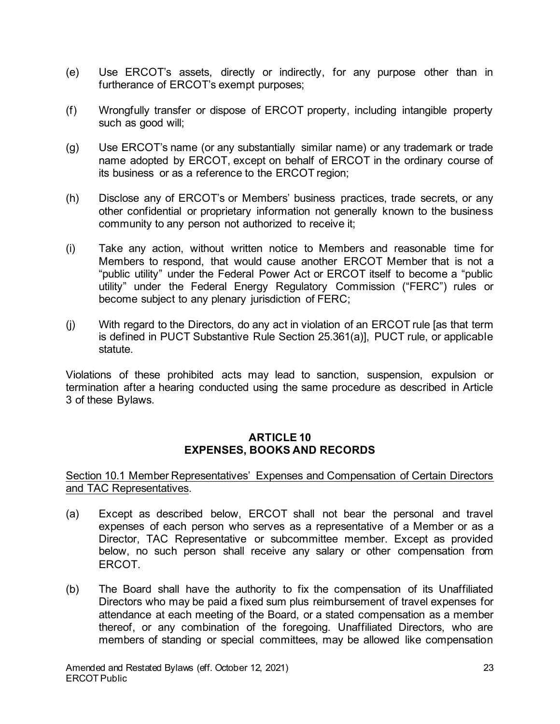- (e) Use ERCOT's assets, directly or indirectly, for any purpose other than in furtherance of ERCOT's exempt purposes;
- (f) Wrongfully transfer or dispose of ERCOT property, including intangible property such as good will;
- (g) Use ERCOT's name (or any substantially similar name) or any trademark or trade name adopted by ERCOT, except on behalf of ERCOT in the ordinary course of its business or as a reference to the ERCOT region;
- (h) Disclose any of ERCOT's or Members' business practices, trade secrets, or any other confidential or proprietary information not generally known to the business community to any person not authorized to receive it;
- (i) Take any action, without written notice to Members and reasonable time for Members to respond, that would cause another ERCOT Member that is not a "public utility" under the Federal Power Act or ERCOT itself to become a "public utility" under the Federal Energy Regulatory Commission ("FERC") rules or become subject to any plenary jurisdiction of FERC;
- (j) With regard to the Directors, do any act in violation of an ERCOT rule [as that term is defined in PUCT Substantive Rule Section 25.361(a)], PUCT rule, or applicable statute.

Violations of these prohibited acts may lead to sanction, suspension, expulsion or termination after a hearing conducted using the same procedure as described in Article 3 of these Bylaws.

### **ARTICLE 10 EXPENSES, BOOKS AND RECORDS**

#### Section 10.1 Member Representatives' Expenses and Compensation of Certain Directors and TAC Representatives.

- (a) Except as described below, ERCOT shall not bear the personal and travel expenses of each person who serves as a representative of a Member or as a Director, TAC Representative or subcommittee member. Except as provided below, no such person shall receive any salary or other compensation from ERCOT.
- (b) The Board shall have the authority to fix the compensation of its Unaffiliated Directors who may be paid a fixed sum plus reimbursement of travel expenses for attendance at each meeting of the Board, or a stated compensation as a member thereof, or any combination of the foregoing. Unaffiliated Directors, who are members of standing or special committees, may be allowed like compensation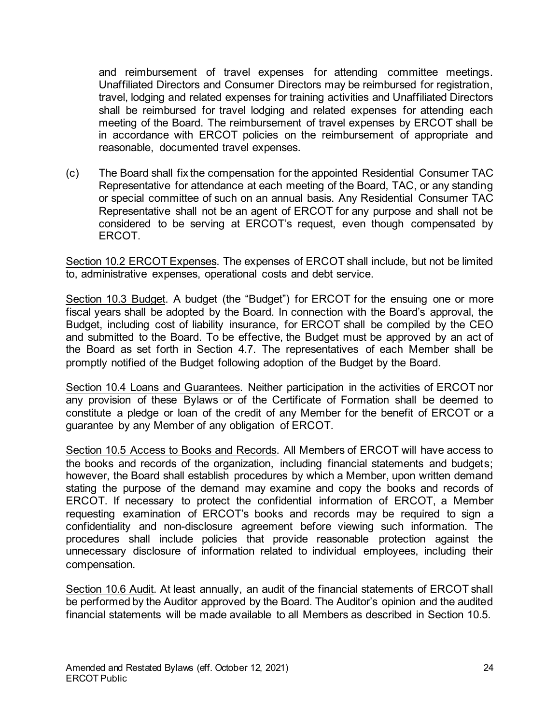and reimbursement of travel expenses for attending committee meetings. Unaffiliated Directors and Consumer Directors may be reimbursed for registration, travel, lodging and related expenses for training activities and Unaffiliated Directors shall be reimbursed for travel lodging and related expenses for attending each meeting of the Board. The reimbursement of travel expenses by ERCOT shall be in accordance with ERCOT policies on the reimbursement of appropriate and reasonable, documented travel expenses.

(c) The Board shall fix the compensation for the appointed Residential Consumer TAC Representative for attendance at each meeting of the Board, TAC, or any standing or special committee of such on an annual basis. Any Residential Consumer TAC Representative shall not be an agent of ERCOT for any purpose and shall not be considered to be serving at ERCOT's request, even though compensated by ERCOT.

Section 10.2 ERCOT Expenses. The expenses of ERCOT shall include, but not be limited to, administrative expenses, operational costs and debt service.

Section 10.3 Budget. A budget (the "Budget") for ERCOT for the ensuing one or more fiscal years shall be adopted by the Board. In connection with the Board's approval, the Budget, including cost of liability insurance, for ERCOT shall be compiled by the CEO and submitted to the Board. To be effective, the Budget must be approved by an act of the Board as set forth in Section 4.7. The representatives of each Member shall be promptly notified of the Budget following adoption of the Budget by the Board.

Section 10.4 Loans and Guarantees. Neither participation in the activities of ERCOT nor any provision of these Bylaws or of the Certificate of Formation shall be deemed to constitute a pledge or loan of the credit of any Member for the benefit of ERCOT or a guarantee by any Member of any obligation of ERCOT.

Section 10.5 Access to Books and Records. All Members of ERCOT will have access to the books and records of the organization, including financial statements and budgets; however, the Board shall establish procedures by which a Member, upon written demand stating the purpose of the demand may examine and copy the books and records of ERCOT. If necessary to protect the confidential information of ERCOT, a Member requesting examination of ERCOT's books and records may be required to sign a confidentiality and non-disclosure agreement before viewing such information. The procedures shall include policies that provide reasonable protection against the unnecessary disclosure of information related to individual employees, including their compensation.

Section 10.6 Audit. At least annually, an audit of the financial statements of ERCOT shall be performed by the Auditor approved by the Board. The Auditor's opinion and the audited financial statements will be made available to all Members as described in Section 10.5.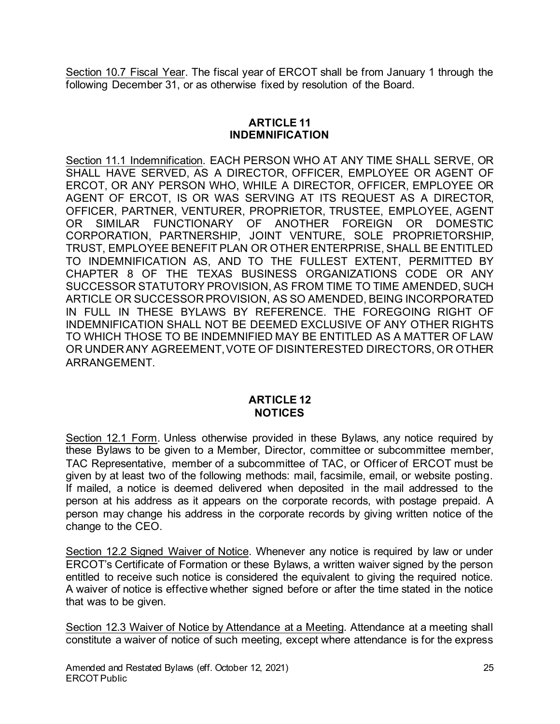Section 10.7 Fiscal Year. The fiscal year of ERCOT shall be from January 1 through the following December 31, or as otherwise fixed by resolution of the Board.

# **ARTICLE 11 INDEMNIFICATION**

Section 11.1 Indemnification. EACH PERSON WHO AT ANY TIME SHALL SERVE, OR SHALL HAVE SERVED, AS A DIRECTOR, OFFICER, EMPLOYEE OR AGENT OF ERCOT, OR ANY PERSON WHO, WHILE A DIRECTOR, OFFICER, EMPLOYEE OR AGENT OF ERCOT, IS OR WAS SERVING AT ITS REQUEST AS A DIRECTOR, OFFICER, PARTNER, VENTURER, PROPRIETOR, TRUSTEE, EMPLOYEE, AGENT OR SIMILAR FUNCTIONARY OF ANOTHER FOREIGN OR DOMESTIC CORPORATION, PARTNERSHIP, JOINT VENTURE, SOLE PROPRIETORSHIP, TRUST, EMPLOYEE BENEFIT PLAN OR OTHER ENTERPRISE, SHALL BE ENTITLED TO INDEMNIFICATION AS, AND TO THE FULLEST EXTENT, PERMITTED BY CHAPTER 8 OF THE TEXAS BUSINESS ORGANIZATIONS CODE OR ANY SUCCESSOR STATUTORY PROVISION, AS FROM TIME TO TIME AMENDED, SUCH ARTICLE OR SUCCESSOR PROVISION, AS SO AMENDED, BEING INCORPORATED IN FULL IN THESE BYLAWS BY REFERENCE. THE FOREGOING RIGHT OF INDEMNIFICATION SHALL NOT BE DEEMED EXCLUSIVE OF ANY OTHER RIGHTS TO WHICH THOSE TO BE INDEMNIFIED MAY BE ENTITLED AS A MATTER OF LAW OR UNDER ANY AGREEMENT, VOTE OF DISINTERESTED DIRECTORS, OR OTHER ARRANGEMENT.

### **ARTICLE 12 NOTICES**

Section 12.1 Form. Unless otherwise provided in these Bylaws, any notice required by these Bylaws to be given to a Member, Director, committee or subcommittee member, TAC Representative, member of a subcommittee of TAC, or Officer of ERCOT must be given by at least two of the following methods: mail, facsimile, email, or website posting. If mailed, a notice is deemed delivered when deposited in the mail addressed to the person at his address as it appears on the corporate records, with postage prepaid. A person may change his address in the corporate records by giving written notice of the change to the CEO.

Section 12.2 Signed Waiver of Notice. Whenever any notice is required by law or under ERCOT's Certificate of Formation or these Bylaws, a written waiver signed by the person entitled to receive such notice is considered the equivalent to giving the required notice. A waiver of notice is effective whether signed before or after the time stated in the notice that was to be given.

Section 12.3 Waiver of Notice by Attendance at a Meeting. Attendance at a meeting shall constitute a waiver of notice of such meeting, except where attendance is for the express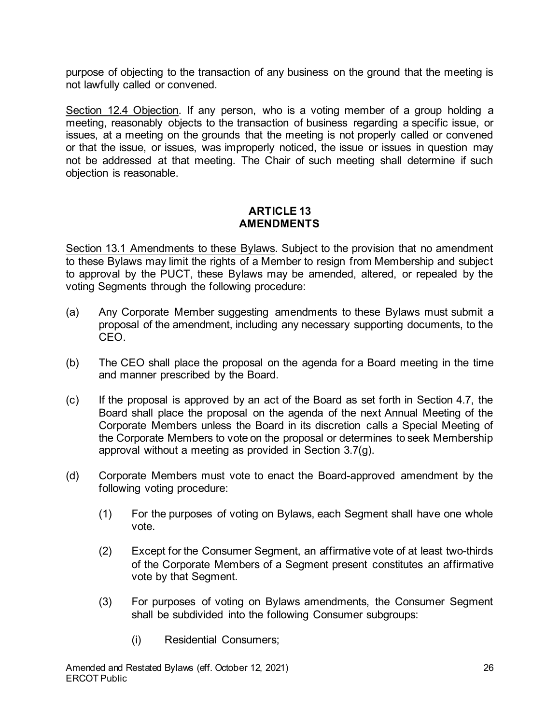purpose of objecting to the transaction of any business on the ground that the meeting is not lawfully called or convened.

Section 12.4 Objection. If any person, who is a voting member of a group holding a meeting, reasonably objects to the transaction of business regarding a specific issue, or issues, at a meeting on the grounds that the meeting is not properly called or convened or that the issue, or issues, was improperly noticed, the issue or issues in question may not be addressed at that meeting. The Chair of such meeting shall determine if such objection is reasonable.

### **ARTICLE 13 AMENDMENTS**

Section 13.1 Amendments to these Bylaws. Subject to the provision that no amendment to these Bylaws may limit the rights of a Member to resign from Membership and subject to approval by the PUCT, these Bylaws may be amended, altered, or repealed by the voting Segments through the following procedure:

- (a) Any Corporate Member suggesting amendments to these Bylaws must submit a proposal of the amendment, including any necessary supporting documents, to the CEO.
- (b) The CEO shall place the proposal on the agenda for a Board meeting in the time and manner prescribed by the Board.
- (c) If the proposal is approved by an act of the Board as set forth in Section 4.7, the Board shall place the proposal on the agenda of the next Annual Meeting of the Corporate Members unless the Board in its discretion calls a Special Meeting of the Corporate Members to vote on the proposal or determines to seek Membership approval without a meeting as provided in Section 3.7(g).
- (d) Corporate Members must vote to enact the Board-approved amendment by the following voting procedure:
	- (1) For the purposes of voting on Bylaws, each Segment shall have one whole vote.
	- (2) Except for the Consumer Segment, an affirmative vote of at least two-thirds of the Corporate Members of a Segment present constitutes an affirmative vote by that Segment.
	- (3) For purposes of voting on Bylaws amendments, the Consumer Segment shall be subdivided into the following Consumer subgroups:
		- (i) Residential Consumers;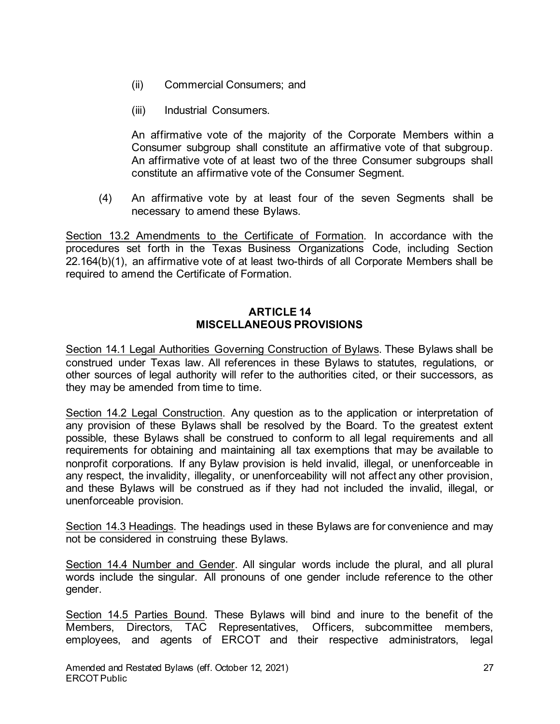- (ii) Commercial Consumers; and
- (iii) Industrial Consumers.

An affirmative vote of the majority of the Corporate Members within a Consumer subgroup shall constitute an affirmative vote of that subgroup. An affirmative vote of at least two of the three Consumer subgroups shall constitute an affirmative vote of the Consumer Segment.

(4) An affirmative vote by at least four of the seven Segments shall be necessary to amend these Bylaws.

Section 13.2 Amendments to the Certificate of Formation. In accordance with the procedures set forth in the Texas Business Organizations Code, including Section 22.164(b)(1), an affirmative vote of at least two-thirds of all Corporate Members shall be required to amend the Certificate of Formation.

#### **ARTICLE 14 MISCELLANEOUS PROVISIONS**

Section 14.1 Legal Authorities Governing Construction of Bylaws. These Bylaws shall be construed under Texas law. All references in these Bylaws to statutes, regulations, or other sources of legal authority will refer to the authorities cited, or their successors, as they may be amended from time to time.

Section 14.2 Legal Construction. Any question as to the application or interpretation of any provision of these Bylaws shall be resolved by the Board. To the greatest extent possible, these Bylaws shall be construed to conform to all legal requirements and all requirements for obtaining and maintaining all tax exemptions that may be available to nonprofit corporations. If any Bylaw provision is held invalid, illegal, or unenforceable in any respect, the invalidity, illegality, or unenforceability will not affect any other provision, and these Bylaws will be construed as if they had not included the invalid, illegal, or unenforceable provision.

Section 14.3 Headings. The headings used in these Bylaws are for convenience and may not be considered in construing these Bylaws.

Section 14.4 Number and Gender. All singular words include the plural, and all plural words include the singular. All pronouns of one gender include reference to the other gender.

Section 14.5 Parties Bound. These Bylaws will bind and inure to the benefit of the Members, Directors, TAC Representatives, Officers, subcommittee members, employees, and agents of ERCOT and their respective administrators, legal